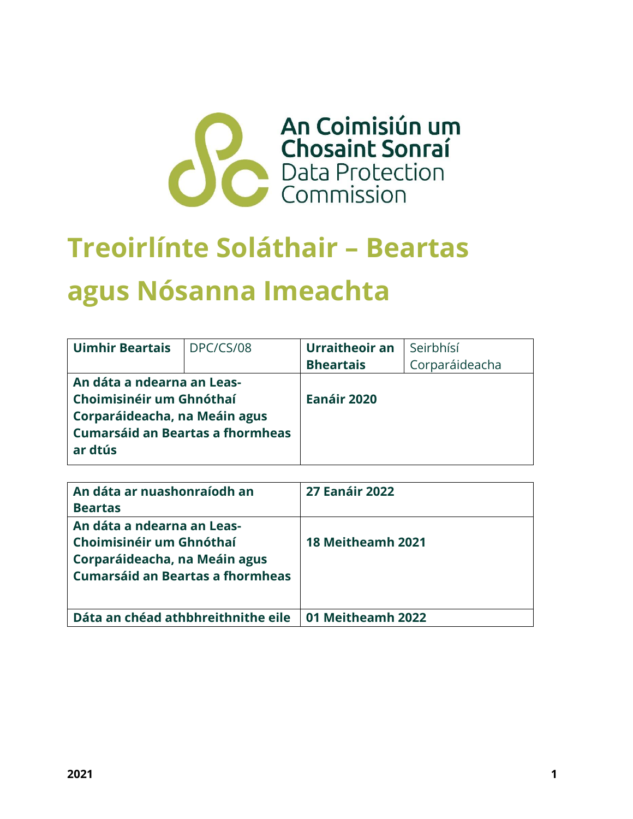

# **Treoirlínte Soláthair – Beartas agus Nósanna Imeachta**

| <b>Uimhir Beartais</b>                                                                                                                        | DPC/CS/08 | Urraitheoir an   | Seirbhísí      |
|-----------------------------------------------------------------------------------------------------------------------------------------------|-----------|------------------|----------------|
|                                                                                                                                               |           | <b>Bheartais</b> | Corparáideacha |
| An dáta a ndearna an Leas-<br>Choimisinéir um Ghnóthaí<br>Corparáideacha, na Meáin agus<br><b>Cumarsáid an Beartas a fhormheas</b><br>ar dtús |           | Eanáir 2020      |                |

| An dáta ar nuashonraíodh an<br><b>Beartas</b>                                                                                      | <b>27 Eanáir 2022</b> |
|------------------------------------------------------------------------------------------------------------------------------------|-----------------------|
| An dáta a ndearna an Leas-<br>Choimisinéir um Ghnóthaí<br>Corparáideacha, na Meáin agus<br><b>Cumarsáid an Beartas a fhormheas</b> | 18 Meitheamh 2021     |
| Dáta an chéad athbhreithnithe eile                                                                                                 | 01 Meitheamh 2022     |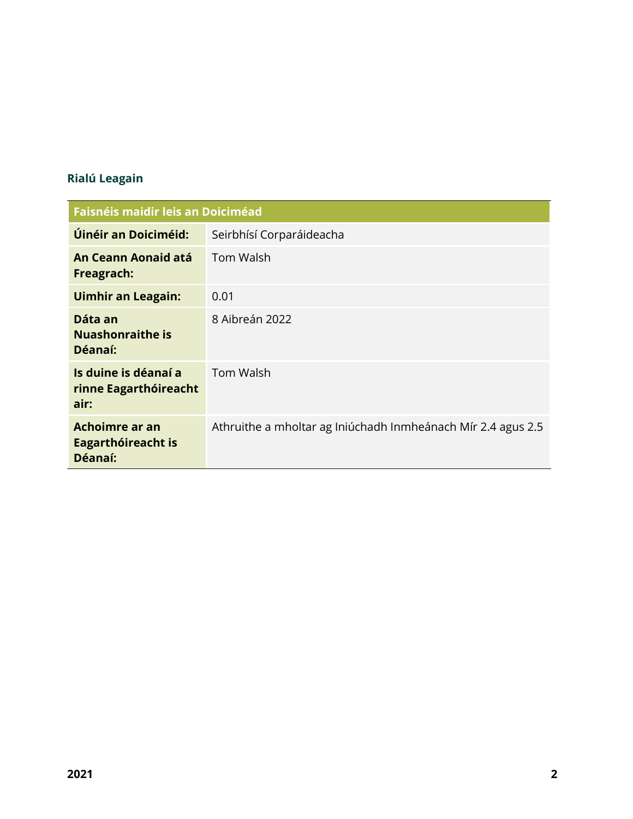# **Rialú Leagain**

| <b>Faisnéis maidir leis an Doiciméad</b>              |                                                              |
|-------------------------------------------------------|--------------------------------------------------------------|
| Úinéir an Doiciméid:                                  | Seirbhísí Corparáideacha                                     |
| An Ceann Aonaid atá<br>Freagrach:                     | <b>Tom Walsh</b>                                             |
| <b>Uimhir an Leagain:</b>                             | 0.01                                                         |
| Dáta an<br><b>Nuashonraithe is</b><br>Déanaí:         | 8 Aibreán 2022                                               |
| Is duine is déanaí a<br>rinne Eagarthóireacht<br>air: | <b>Tom Walsh</b>                                             |
| Achoimre ar an<br>Eagarthóireacht is<br>Déanaí:       | Athruithe a mholtar ag Iniúchadh Inmheánach Mír 2.4 agus 2.5 |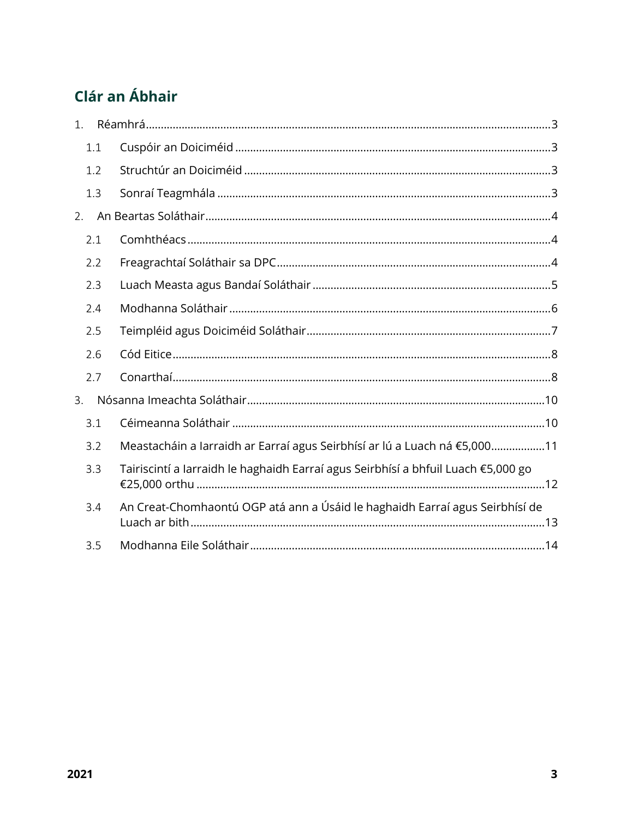# Clár an Ábhair

| 1. |     |                                                                                   |
|----|-----|-----------------------------------------------------------------------------------|
|    | 1.1 |                                                                                   |
|    | 1.2 |                                                                                   |
|    | 1.3 |                                                                                   |
| 2. |     |                                                                                   |
|    | 2.1 |                                                                                   |
|    | 2.2 |                                                                                   |
|    | 2.3 |                                                                                   |
|    | 2.4 |                                                                                   |
|    | 2.5 |                                                                                   |
|    | 2.6 |                                                                                   |
|    | 2.7 |                                                                                   |
| 3. |     |                                                                                   |
|    | 3.1 |                                                                                   |
|    | 3.2 | Meastacháin a Iarraidh ar Earraí agus Seirbhísí ar lú a Luach ná €5,00011         |
|    | 3.3 | Tairiscintí a Iarraidh le haghaidh Earraí agus Seirbhísí a bhfuil Luach €5,000 go |
|    | 3.4 | An Creat-Chomhaontú OGP atá ann a Úsáid le haghaidh Earraí agus Seirbhísí de      |
|    | 3.5 |                                                                                   |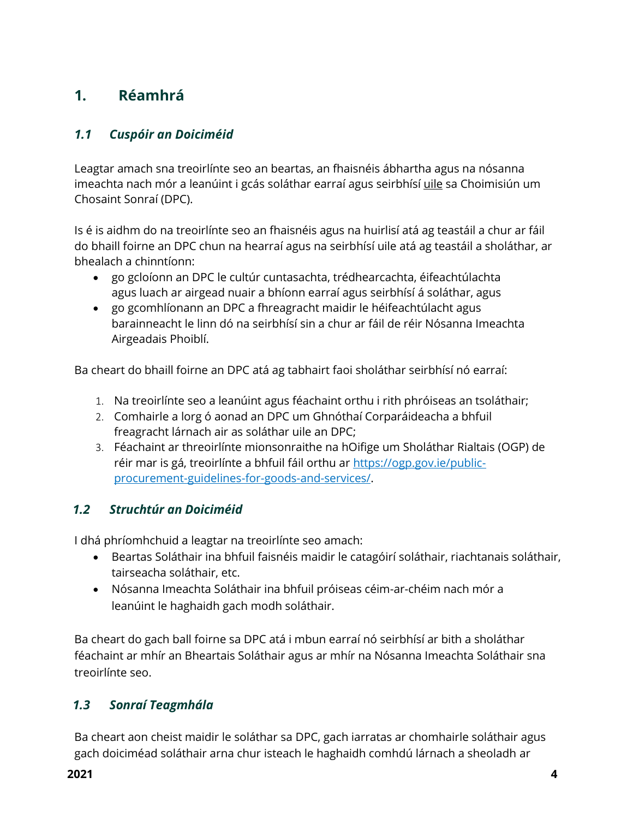# <span id="page-3-0"></span>**1. Réamhrá**

# <span id="page-3-1"></span>*1.1 Cuspóir an Doiciméid*

Leagtar amach sna treoirlínte seo an beartas, an fhaisnéis ábhartha agus na nósanna imeachta nach mór a leanúint i gcás soláthar earraí agus seirbhísí uile sa Choimisiún um Chosaint Sonraí (DPC).

Is é is aidhm do na treoirlínte seo an fhaisnéis agus na huirlisí atá ag teastáil a chur ar fáil do bhaill foirne an DPC chun na hearraí agus na seirbhísí uile atá ag teastáil a sholáthar, ar bhealach a chinntíonn:

- go gcloíonn an DPC le cultúr cuntasachta, trédhearcachta, éifeachtúlachta agus luach ar airgead nuair a bhíonn earraí agus seirbhísí á soláthar, agus
- go gcomhlíonann an DPC a fhreagracht maidir le héifeachtúlacht agus barainneacht le linn dó na seirbhísí sin a chur ar fáil de réir Nósanna Imeachta Airgeadais Phoiblí.

Ba cheart do bhaill foirne an DPC atá ag tabhairt faoi sholáthar seirbhísí nó earraí:

- 1. Na treoirlínte seo a leanúint agus féachaint orthu i rith phróiseas an tsoláthair;
- 2. Comhairle a lorg ó aonad an DPC um Ghnóthaí Corparáideacha a bhfuil freagracht lárnach air as soláthar uile an DPC;
- 3. Féachaint ar threoirlínte mionsonraithe na hOifige um Sholáthar Rialtais (OGP) de réir mar is gá, treoirlínte a bhfuil fáil orthu ar [https://ogp.gov.ie/public](https://ogp.gov.ie/public-procurement-guidelines-for-goods-and-services/)[procurement-guidelines-for-goods-and-services/.](https://ogp.gov.ie/public-procurement-guidelines-for-goods-and-services/)

# <span id="page-3-2"></span>*1.2 Struchtúr an Doiciméid*

I dhá phríomhchuid a leagtar na treoirlínte seo amach:

- Beartas Soláthair ina bhfuil faisnéis maidir le catagóirí soláthair, riachtanais soláthair, tairseacha soláthair, etc.
- Nósanna Imeachta Soláthair ina bhfuil próiseas céim-ar-chéim nach mór a leanúint le haghaidh gach modh soláthair.

Ba cheart do gach ball foirne sa DPC atá i mbun earraí nó seirbhísí ar bith a sholáthar féachaint ar mhír an Bheartais Soláthair agus ar mhír na Nósanna Imeachta Soláthair sna treoirlínte seo.

# <span id="page-3-3"></span>*1.3 Sonraí Teagmhála*

Ba cheart aon cheist maidir le soláthar sa DPC, gach iarratas ar chomhairle soláthair agus gach doiciméad soláthair arna chur isteach le haghaidh comhdú lárnach a sheoladh ar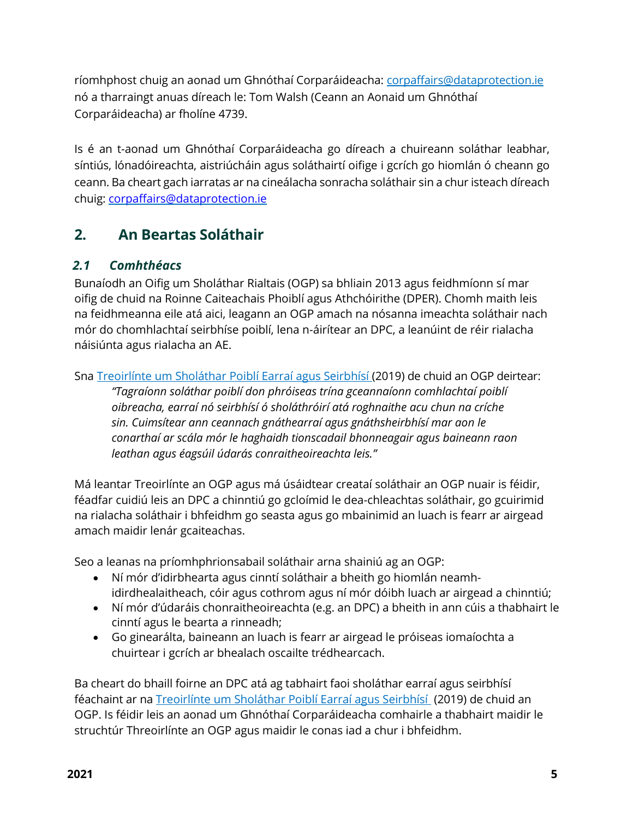ríomhphost chuig an aonad um Ghnóthaí Corparáideacha: [corpaffairs@dataprotection.ie](mailto:corpaffairs@dataprotection.ie) nó a tharraingt anuas díreach le: Tom Walsh (Ceann an Aonaid um Ghnóthaí Corparáideacha) ar fholíne 4739.

Is é an t-aonad um Ghnóthaí Corparáideacha go díreach a chuireann soláthar leabhar, síntiús, lónadóireachta, aistriúcháin agus soláthairtí oifige i gcrích go hiomlán ó cheann go ceann. Ba cheart gach iarratas ar na cineálacha sonracha soláthair sin a chur isteach díreach chuig: [corpaffairs@dataprotection.ie](mailto:corpaffairs@dataprotection.ie)

# <span id="page-4-0"></span>**2. An Beartas Soláthair**

# <span id="page-4-1"></span>*2.1 Comhthéacs*

Bunaíodh an Oifig um Sholáthar Rialtais (OGP) sa bhliain 2013 agus feidhmíonn sí mar oifig de chuid na Roinne Caiteachais Phoiblí agus Athchóirithe (DPER). Chomh maith leis na feidhmeanna eile atá aici, leagann an OGP amach na nósanna imeachta soláthair nach mór do chomhlachtaí seirbhíse poiblí, lena n-áirítear an DPC, a leanúint de réir rialacha náisiúnta agus rialacha an AE.

Sna Treoirlínte um Sholáthar [Poiblí Earraí agus Seirbhísí](https://ogp.gov.ie/public-procurement-guidelines-for-goods-and-services/) (2019) de chuid an OGP deirtear:

*"Tagraíonn soláthar poiblí don phróiseas trína gceannaíonn comhlachtaí poiblí oibreacha, earraí nó seirbhísí ó sholáthróirí atá roghnaithe acu chun na críche sin. Cuimsítear ann ceannach gnáthearraí agus gnáthsheirbhísí mar aon le conarthaí ar scála mór le haghaidh tionscadail bhonneagair agus baineann raon leathan agus éagsúil údarás conraitheoireachta leis."*

Má leantar Treoirlínte an OGP agus má úsáidtear creataí soláthair an OGP nuair is féidir, féadfar cuidiú leis an DPC a chinntiú go gcloímid le dea-chleachtas soláthair, go gcuirimid na rialacha soláthair i bhfeidhm go seasta agus go mbainimid an luach is fearr ar airgead amach maidir lenár gcaiteachas.

Seo a leanas na príomhphrionsabail soláthair arna shainiú ag an OGP:

- Ní mór d'idirbhearta agus cinntí soláthair a bheith go hiomlán neamhidirdhealaitheach, cóir agus cothrom agus ní mór dóibh luach ar airgead a chinntiú;
- Ní mór d'údaráis chonraitheoireachta (e.g. an DPC) a bheith in ann cúis a thabhairt le cinntí agus le bearta a rinneadh;
- Go ginearálta, baineann an luach is fearr ar airgead le próiseas iomaíochta a chuirtear i gcrích ar bhealach oscailte trédhearcach.

Ba cheart do bhaill foirne an DPC atá ag tabhairt faoi sholáthar earraí agus seirbhísí féachaint ar na [Treoirlínte um Sholáthar Poiblí Earraí agus Seirbhísí](https://ogp.gov.ie/public-procurement-guidelines-for-goods-and-services/) (2019) de chuid an OGP. Is féidir leis an aonad um Ghnóthaí Corparáideacha comhairle a thabhairt maidir le struchtúr Threoirlínte an OGP agus maidir le conas iad a chur i bhfeidhm.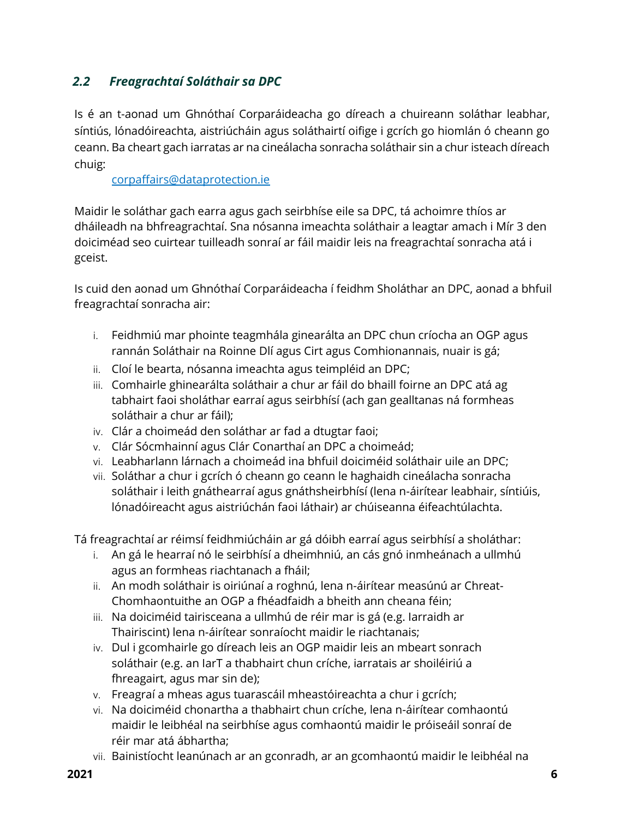# <span id="page-5-0"></span>*2.2 Freagrachtaí Soláthair sa DPC*

Is é an t-aonad um Ghnóthaí Corparáideacha go díreach a chuireann soláthar leabhar, síntiús, lónadóireachta, aistriúcháin agus soláthairtí oifige i gcrích go hiomlán ó cheann go ceann. Ba cheart gach iarratas ar na cineálacha sonracha soláthair sin a chur isteach díreach chuig:

[corpaffairs@dataprotection.ie](mailto:corpaffairs@dataprotection.ie)

Maidir le soláthar gach earra agus gach seirbhíse eile sa DPC, tá achoimre thíos ar dháileadh na bhfreagrachtaí. Sna nósanna imeachta soláthair a leagtar amach i Mír 3 den doiciméad seo cuirtear tuilleadh sonraí ar fáil maidir leis na freagrachtaí sonracha atá i gceist.

Is cuid den aonad um Ghnóthaí Corparáideacha í feidhm Sholáthar an DPC, aonad a bhfuil freagrachtaí sonracha air:

- i. Feidhmiú mar phointe teagmhála ginearálta an DPC chun críocha an OGP agus rannán Soláthair na Roinne Dlí agus Cirt agus Comhionannais, nuair is gá;
- ii. Cloí le bearta, nósanna imeachta agus teimpléid an DPC;
- iii. Comhairle ghinearálta soláthair a chur ar fáil do bhaill foirne an DPC atá ag tabhairt faoi sholáthar earraí agus seirbhísí (ach gan gealltanas ná formheas soláthair a chur ar fáil);
- iv. Clár a choimeád den soláthar ar fad a dtugtar faoi;
- v. Clár Sócmhainní agus Clár Conarthaí an DPC a choimeád;
- vi. Leabharlann lárnach a choimeád ina bhfuil doiciméid soláthair uile an DPC;
- vii. Soláthar a chur i gcrích ó cheann go ceann le haghaidh cineálacha sonracha soláthair i leith gnáthearraí agus gnáthsheirbhísí (lena n-áirítear leabhair, síntiúis, lónadóireacht agus aistriúchán faoi láthair) ar chúiseanna éifeachtúlachta.

Tá freagrachtaí ar réimsí feidhmiúcháin ar gá dóibh earraí agus seirbhísí a sholáthar:

- i. An gá le hearraí nó le seirbhísí a dheimhniú, an cás gnó inmheánach a ullmhú agus an formheas riachtanach a fháil;
- ii. An modh soláthair is oiriúnaí a roghnú, lena n-áirítear measúnú ar Chreat-Chomhaontuithe an OGP a fhéadfaidh a bheith ann cheana féin;
- iii. Na doiciméid tairisceana a ullmhú de réir mar is gá (e.g. Iarraidh ar Thairiscint) lena n-áirítear sonraíocht maidir le riachtanais;
- iv. Dul i gcomhairle go díreach leis an OGP maidir leis an mbeart sonrach soláthair (e.g. an IarT a thabhairt chun críche, iarratais ar shoiléiriú a fhreagairt, agus mar sin de);
- v. Freagraí a mheas agus tuarascáil mheastóireachta a chur i gcrích;
- vi. Na doiciméid chonartha a thabhairt chun críche, lena n-áirítear comhaontú maidir le leibhéal na seirbhíse agus comhaontú maidir le próiseáil sonraí de réir mar atá ábhartha;
- vii. Bainistíocht leanúnach ar an gconradh, ar an gcomhaontú maidir le leibhéal na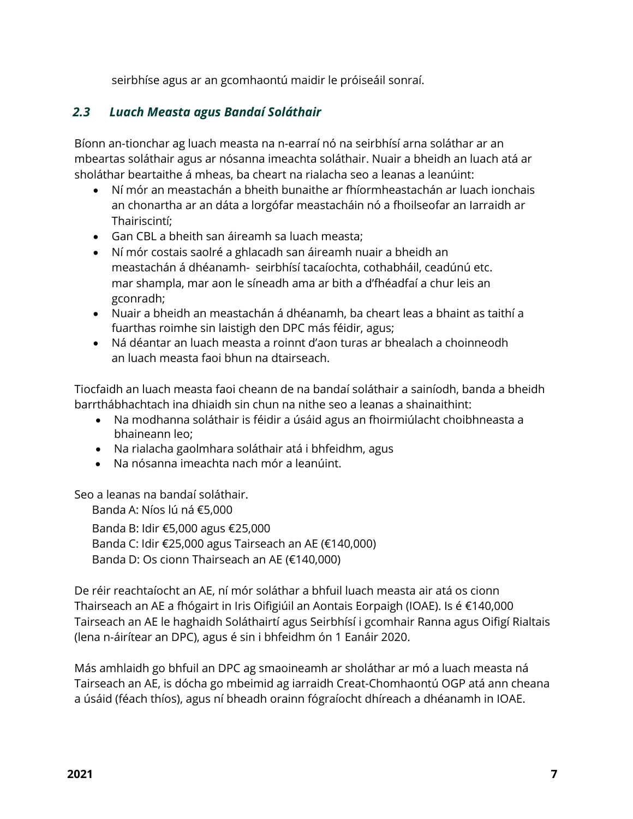seirbhíse agus ar an gcomhaontú maidir le próiseáil sonraí.

### <span id="page-6-0"></span>*2.3 Luach Measta agus Bandaí Soláthair*

Bíonn an-tionchar ag luach measta na n-earraí nó na seirbhísí arna soláthar ar an mbeartas soláthair agus ar nósanna imeachta soláthair. Nuair a bheidh an luach atá ar sholáthar beartaithe á mheas, ba cheart na rialacha seo a leanas a leanúint:

- Ní mór an meastachán a bheith bunaithe ar fhíormheastachán ar luach ionchais an chonartha ar an dáta a lorgófar meastacháin nó a fhoilseofar an Iarraidh ar Thairiscintí;
- Gan CBL a bheith san áireamh sa luach measta;
- Ní mór costais saolré a ghlacadh san áireamh nuair a bheidh an meastachán á dhéanamh- seirbhísí tacaíochta, cothabháil, ceadúnú etc. mar shampla, mar aon le síneadh ama ar bith a d'fhéadfaí a chur leis an gconradh;
- Nuair a bheidh an meastachán á dhéanamh, ba cheart leas a bhaint as taithí a fuarthas roimhe sin laistigh den DPC más féidir, agus;
- Ná déantar an luach measta a roinnt d'aon turas ar bhealach a choinneodh an luach measta faoi bhun na dtairseach.

Tiocfaidh an luach measta faoi cheann de na bandaí soláthair a sainíodh, banda a bheidh barrthábhachtach ina dhiaidh sin chun na nithe seo a leanas a shainaithint:

- Na modhanna soláthair is féidir a úsáid agus an fhoirmiúlacht choibhneasta a bhaineann leo;
- Na rialacha gaolmhara soláthair atá i bhfeidhm, agus
- Na nósanna imeachta nach mór a leanúint.

Seo a leanas na bandaí soláthair.

Banda A: Níos lú ná €5,000

Banda B: Idir €5,000 agus €25,000 Banda C: Idir €25,000 agus Tairseach an AE (€140,000) Banda D: Os cionn Thairseach an AE (€140,000)

De réir reachtaíocht an AE, ní mór soláthar a bhfuil luach measta air atá os cionn Thairseach an AE a fhógairt in Iris Oifigiúil an Aontais Eorpaigh (IOAE). Is é €140,000 Tairseach an AE le haghaidh Soláthairtí agus Seirbhísí i gcomhair Ranna agus Oifigí Rialtais (lena n-áirítear an DPC), agus é sin i bhfeidhm ón 1 Eanáir 2020.

Más amhlaidh go bhfuil an DPC ag smaoineamh ar sholáthar ar mó a luach measta ná Tairseach an AE, is dócha go mbeimid ag iarraidh Creat-Chomhaontú OGP atá ann cheana a úsáid (féach thíos), agus ní bheadh orainn fógraíocht dhíreach a dhéanamh in IOAE.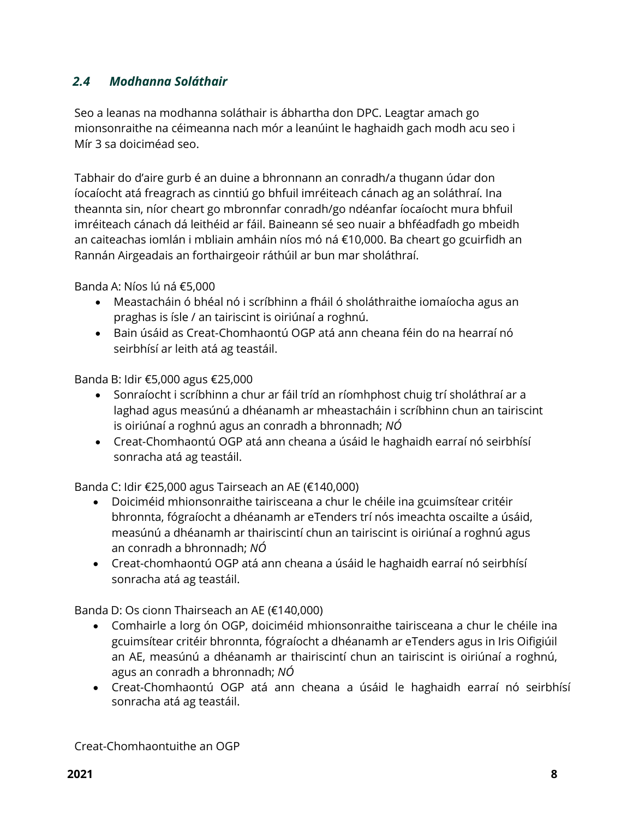## <span id="page-7-0"></span>*2.4 Modhanna Soláthair*

Seo a leanas na modhanna soláthair is ábhartha don DPC. Leagtar amach go mionsonraithe na céimeanna nach mór a leanúint le haghaidh gach modh acu seo i Mír 3 sa doiciméad seo.

Tabhair do d'aire gurb é an duine a bhronnann an conradh/a thugann údar don íocaíocht atá freagrach as cinntiú go bhfuil imréiteach cánach ag an soláthraí. Ina theannta sin, níor cheart go mbronnfar conradh/go ndéanfar íocaíocht mura bhfuil imréiteach cánach dá leithéid ar fáil. Baineann sé seo nuair a bhféadfadh go mbeidh an caiteachas iomlán i mbliain amháin níos mó ná €10,000. Ba cheart go gcuirfidh an Rannán Airgeadais an forthairgeoir ráthúil ar bun mar sholáthraí.

Banda A: Níos lú ná €5,000

- Meastacháin ó bhéal nó i scríbhinn a fháil ó sholáthraithe iomaíocha agus an praghas is ísle / an tairiscint is oiriúnaí a roghnú.
- Bain úsáid as Creat-Chomhaontú OGP atá ann cheana féin do na hearraí nó seirbhísí ar leith atá ag teastáil.

Banda B: Idir €5,000 agus €25,000

- Sonraíocht i scríbhinn a chur ar fáil tríd an ríomhphost chuig trí sholáthraí ar a laghad agus measúnú a dhéanamh ar mheastacháin i scríbhinn chun an tairiscint is oiriúnaí a roghnú agus an conradh a bhronnadh; *NÓ*
- Creat-Chomhaontú OGP atá ann cheana a úsáid le haghaidh earraí nó seirbhísí sonracha atá ag teastáil.

Banda C: Idir €25,000 agus Tairseach an AE (€140,000)

- Doiciméid mhionsonraithe tairisceana a chur le chéile ina gcuimsítear critéir bhronnta, fógraíocht a dhéanamh ar eTenders trí nós imeachta oscailte a úsáid, measúnú a dhéanamh ar thairiscintí chun an tairiscint is oiriúnaí a roghnú agus an conradh a bhronnadh; *NÓ*
- Creat-chomhaontú OGP atá ann cheana a úsáid le haghaidh earraí nó seirbhísí sonracha atá ag teastáil.

Banda D: Os cionn Thairseach an AE (€140,000)

- Comhairle a lorg ón OGP, doiciméid mhionsonraithe tairisceana a chur le chéile ina gcuimsítear critéir bhronnta, fógraíocht a dhéanamh ar eTenders agus in Iris Oifigiúil an AE, measúnú a dhéanamh ar thairiscintí chun an tairiscint is oiriúnaí a roghnú, agus an conradh a bhronnadh; *NÓ*
- Creat-Chomhaontú OGP atá ann cheana a úsáid le haghaidh earraí nó seirbhísí sonracha atá ag teastáil.

Creat-Chomhaontuithe an OGP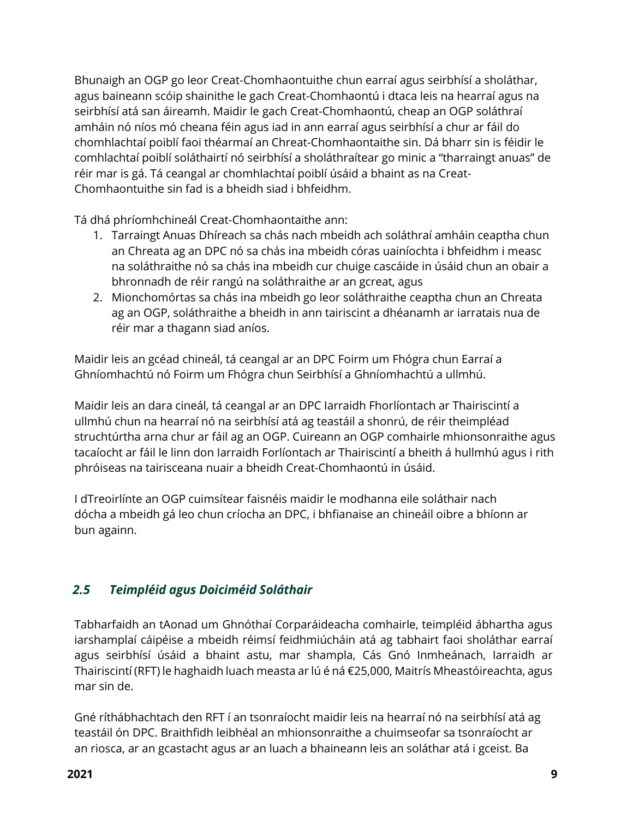Bhunaigh an OGP go leor Creat-Chomhaontuithe chun earraí agus seirbhísí a sholáthar, agus baineann scóip shainithe le gach Creat-Chomhaontú i dtaca leis na hearraí agus na seirbhísí atá san áireamh. Maidir le gach Creat-Chomhaontú, cheap an OGP soláthraí amháin nó níos mó cheana féin agus iad in ann earraí agus seirbhísí a chur ar fáil do chomhlachtaí poiblí faoi théarmaí an Chreat-Chomhaontaithe sin. Dá bharr sin is féidir le comhlachtaí poiblí soláthairtí nó seirbhísí a sholáthraítear go minic a "tharraingt anuas" de réir mar is gá. Tá ceangal ar chomhlachtaí poiblí úsáid a bhaint as na Creat-Chomhaontuithe sin fad is a bheidh siad i bhfeidhm.

Tá dhá phríomhchineál Creat-Chomhaontaithe ann:

- 1. Tarraingt Anuas Dhíreach sa chás nach mbeidh ach soláthraí amháin ceaptha chun an Chreata ag an DPC nó sa chás ina mbeidh córas uainíochta i bhfeidhm i measc na soláthraithe nó sa chás ina mbeidh cur chuige cascáide in úsáid chun an obair a bhronnadh de réir rangú na soláthraithe ar an gcreat, agus
- 2. Mionchomórtas sa chás ina mbeidh go leor soláthraithe ceaptha chun an Chreata ag an OGP, soláthraithe a bheidh in ann tairiscint a dhéanamh ar iarratais nua de réir mar a thagann siad aníos.

Maidir leis an gcéad chineál, tá ceangal ar an DPC Foirm um Fhógra chun Earraí a Ghníomhachtú nó Foirm um Fhógra chun Seirbhísí a Ghníomhachtú a ullmhú.

Maidir leis an dara cineál, tá ceangal ar an DPC Iarraidh Fhorlíontach ar Thairiscintí a ullmhú chun na hearraí nó na seirbhísí atá ag teastáil a shonrú, de réir theimpléad struchtúrtha arna chur ar fáil ag an OGP. Cuireann an OGP comhairle mhionsonraithe agus tacaíocht ar fáil le linn don Iarraidh Forlíontach ar Thairiscintí a bheith á hullmhú agus i rith phróiseas na tairisceana nuair a bheidh Creat-Chomhaontú in úsáid.

I dTreoirlínte an OGP cuimsítear faisnéis maidir le modhanna eile soláthair nach dócha a mbeidh gá leo chun críocha an DPC, i bhfianaise an chineáil oibre a bhíonn ar bun againn.

# <span id="page-8-0"></span>*2.5 Teimpléid agus Doiciméid Soláthair*

Tabharfaidh an tAonad um Ghnóthaí Corparáideacha comhairle, teimpléid ábhartha agus iarshamplaí cáipéise a mbeidh réimsí feidhmiúcháin atá ag tabhairt faoi sholáthar earraí agus seirbhísí úsáid a bhaint astu, mar shampla, Cás Gnó Inmheánach, Iarraidh ar Thairiscintí (RFT) le haghaidh luach measta ar lú é ná €25,000, Maitrís Mheastóireachta, agus mar sin de.

Gné ríthábhachtach den RFT í an tsonraíocht maidir leis na hearraí nó na seirbhísí atá ag teastáil ón DPC. Braithfidh leibhéal an mhionsonraithe a chuimseofar sa tsonraíocht ar an riosca, ar an gcastacht agus ar an luach a bhaineann leis an soláthar atá i gceist. Ba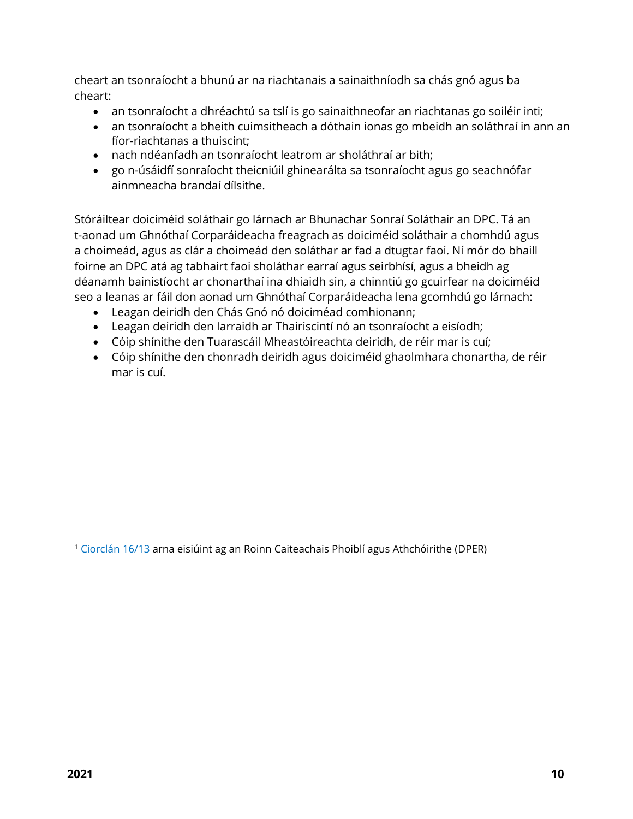cheart an tsonraíocht a bhunú ar na riachtanais a sainaithníodh sa chás gnó agus ba cheart:

- an tsonraíocht a dhréachtú sa tslí is go sainaithneofar an riachtanas go soiléir inti;
- an tsonraíocht a bheith cuimsitheach a dóthain ionas go mbeidh an soláthraí in ann an fíor-riachtanas a thuiscint;
- nach ndéanfadh an tsonraíocht leatrom ar sholáthraí ar bith;
- go n-úsáidfí sonraíocht theicniúil ghinearálta sa tsonraíocht agus go seachnófar ainmneacha brandaí dílsithe.

Stóráiltear doiciméid soláthair go lárnach ar Bhunachar Sonraí Soláthair an DPC. Tá an t-aonad um Ghnóthaí Corparáideacha freagrach as doiciméid soláthair a chomhdú agus a choimeád, agus as clár a choimeád den soláthar ar fad a dtugtar faoi. Ní mór do bhaill foirne an DPC atá ag tabhairt faoi sholáthar earraí agus seirbhísí, agus a bheidh ag déanamh bainistíocht ar chonarthaí ina dhiaidh sin, a chinntiú go gcuirfear na doiciméid seo a leanas ar fáil don aonad um Ghnóthaí Corparáideacha lena gcomhdú go lárnach:

- Leagan deiridh den Chás Gnó nó doiciméad comhionann;
- Leagan deiridh den Iarraidh ar Thairiscintí nó an tsonraíocht a eisíodh;
- Cóip shínithe den Tuarascáil Mheastóireachta deiridh, de réir mar is cuí;
- Cóip shínithe den chonradh deiridh agus doiciméid ghaolmhara chonartha, de réir mar is cuí.

<sup>&</sup>lt;sup>1</sup> [Ciorclán](https://circulars.gov.ie/pdf/circular/per/2013/16.pdf) 16/13 arna eisiúint ag an Roinn Caiteachais Phoiblí agus Athchóirithe (DPER)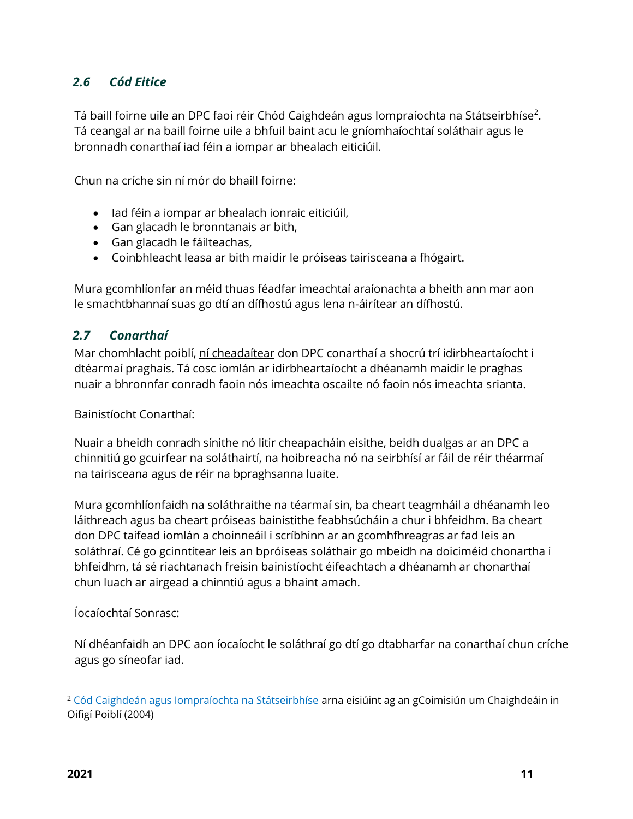## <span id="page-10-0"></span>*2.6 Cód Eitice*

Tá baill foirne uile an DPC faoi réir Chód Caighdeán agus Iompraíochta na Státseirbhíse $^2$ . Tá ceangal ar na baill foirne uile a bhfuil baint acu le gníomhaíochtaí soláthair agus le bronnadh conarthaí iad féin a iompar ar bhealach eiticiúil.

Chun na críche sin ní mór do bhaill foirne:

- Iad féin a iompar ar bhealach ionraic eiticiúil,
- Gan glacadh le bronntanais ar bith,
- Gan glacadh le fáilteachas,
- Coinbhleacht leasa ar bith maidir le próiseas tairisceana a fhógairt.

Mura gcomhlíonfar an méid thuas féadfar imeachtaí araíonachta a bheith ann mar aon le smachtbhannaí suas go dtí an dífhostú agus lena n-áirítear an dífhostú.

## <span id="page-10-1"></span>*2.7 Conarthaí*

Mar chomhlacht poiblí, ní cheadaítear don DPC conarthaí a shocrú trí idirbheartaíocht i dtéarmaí praghais. Tá cosc iomlán ar idirbheartaíocht a dhéanamh maidir le praghas nuair a bhronnfar conradh faoin nós imeachta oscailte nó faoin nós imeachta srianta.

Bainistíocht Conarthaí:

Nuair a bheidh conradh sínithe nó litir cheapacháin eisithe, beidh dualgas ar an DPC a chinnitiú go gcuirfear na soláthairtí, na hoibreacha nó na seirbhísí ar fáil de réir théarmaí na tairisceana agus de réir na bpraghsanna luaite.

Mura gcomhlíonfaidh na soláthraithe na téarmaí sin, ba cheart teagmháil a dhéanamh leo láithreach agus ba cheart próiseas bainistithe feabhsúcháin a chur i bhfeidhm. Ba cheart don DPC taifead iomlán a choinneáil i scríbhinn ar an gcomhfhreagras ar fad leis an soláthraí. Cé go gcinntítear leis an bpróiseas soláthair go mbeidh na doiciméid chonartha i bhfeidhm, tá sé riachtanach freisin bainistíocht éifeachtach a dhéanamh ar chonarthaí chun luach ar airgead a chinntiú agus a bhaint amach.

#### Íocaíochtaí Sonrasc:

Ní dhéanfaidh an DPC aon íocaíocht le soláthraí go dtí go dtabharfar na conarthaí chun críche agus go síneofar iad.

<sup>2</sup> Cód Caighdeán agus Iompraíochta na Státseirbhíse arna eisiúint ag an gCoimisiún um Chaighdeáin in Oifigí Poiblí (2004)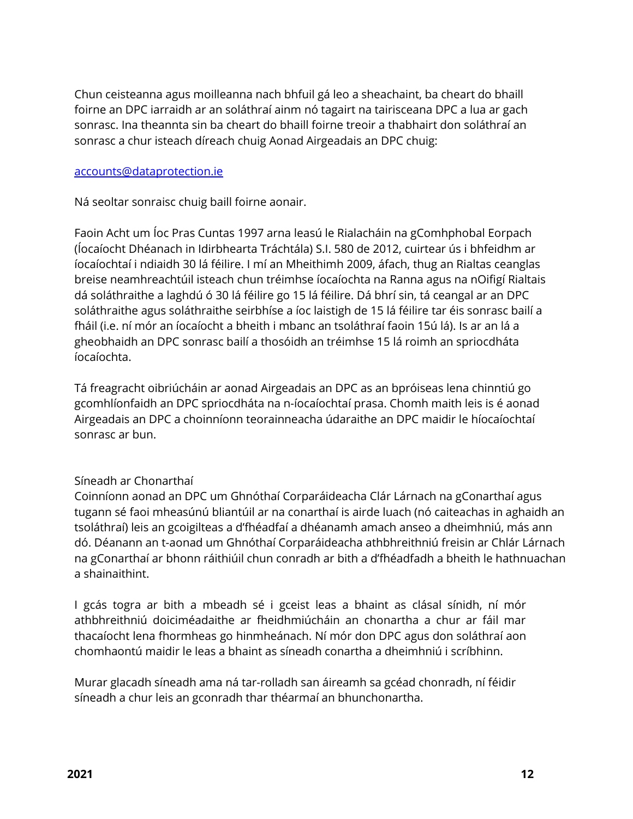Chun ceisteanna agus moilleanna nach bhfuil gá leo a sheachaint, ba cheart do bhaill foirne an DPC iarraidh ar an soláthraí ainm nó tagairt na tairisceana DPC a lua ar gach sonrasc. Ina theannta sin ba cheart do bhaill foirne treoir a thabhairt don soláthraí an sonrasc a chur isteach díreach chuig Aonad Airgeadais an DPC chuig:

#### [accounts@dataprotection.ie](mailto:accounts@dataprotection.ie)

Ná seoltar sonraisc chuig baill foirne aonair.

Faoin Acht um Íoc Pras Cuntas 1997 arna leasú le Rialacháin na gComhphobal Eorpach (Íocaíocht Dhéanach in Idirbhearta Tráchtála) S.I. 580 de 2012, cuirtear ús i bhfeidhm ar íocaíochtaí i ndiaidh 30 lá féilire. I mí an Mheithimh 2009, áfach, thug an Rialtas ceanglas breise neamhreachtúil isteach chun tréimhse íocaíochta na Ranna agus na nOifigí Rialtais dá soláthraithe a laghdú ó 30 lá féilire go 15 lá féilire. Dá bhrí sin, tá ceangal ar an DPC soláthraithe agus soláthraithe seirbhíse a íoc laistigh de 15 lá féilire tar éis sonrasc bailí a fháil (i.e. ní mór an íocaíocht a bheith i mbanc an tsoláthraí faoin 15ú lá). Is ar an lá a gheobhaidh an DPC sonrasc bailí a thosóidh an tréimhse 15 lá roimh an spriocdháta íocaíochta.

Tá freagracht oibriúcháin ar aonad Airgeadais an DPC as an bpróiseas lena chinntiú go gcomhlíonfaidh an DPC spriocdháta na n-íocaíochtaí prasa. Chomh maith leis is é aonad Airgeadais an DPC a choinníonn teorainneacha údaraithe an DPC maidir le híocaíochtaí sonrasc ar bun.

#### Síneadh ar Chonarthaí

Coinníonn aonad an DPC um Ghnóthaí Corparáideacha Clár Lárnach na gConarthaí agus tugann sé faoi mheasúnú bliantúil ar na conarthaí is airde luach (nó caiteachas in aghaidh an tsoláthraí) leis an gcoigilteas a d'fhéadfaí a dhéanamh amach anseo a dheimhniú, más ann dó. Déanann an t-aonad um Ghnóthaí Corparáideacha athbhreithniú freisin ar Chlár Lárnach na gConarthaí ar bhonn ráithiúil chun conradh ar bith a d'fhéadfadh a bheith le hathnuachan a shainaithint.

I gcás togra ar bith a mbeadh sé i gceist leas a bhaint as clásal sínidh, ní mór athbhreithniú doiciméadaithe ar fheidhmiúcháin an chonartha a chur ar fáil mar thacaíocht lena fhormheas go hinmheánach. Ní mór don DPC agus don soláthraí aon chomhaontú maidir le leas a bhaint as síneadh conartha a dheimhniú i scríbhinn.

Murar glacadh síneadh ama ná tar-rolladh san áireamh sa gcéad chonradh, ní féidir síneadh a chur leis an gconradh thar théarmaí an bhunchonartha.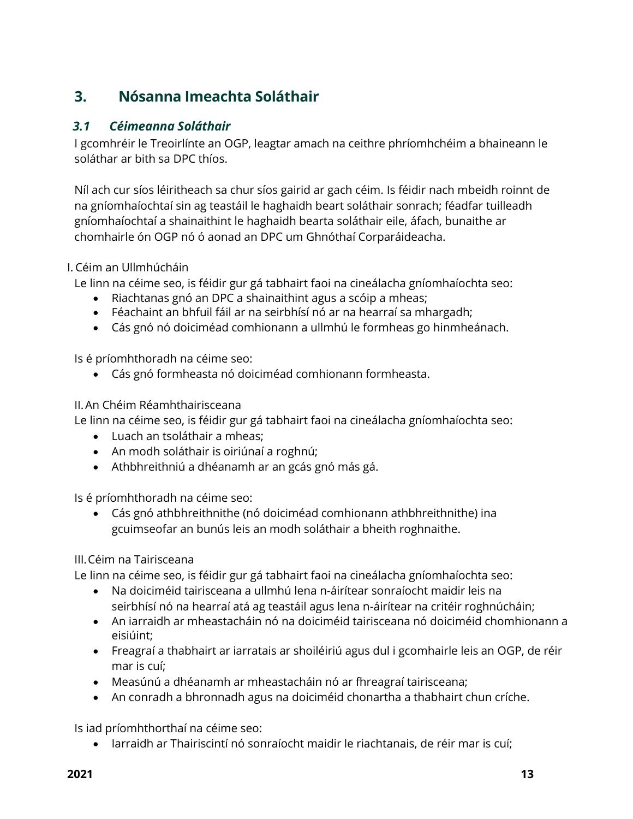# <span id="page-12-0"></span>**3. Nósanna Imeachta Soláthair**

#### <span id="page-12-1"></span>*3.1 Céimeanna Soláthair*

I gcomhréir le Treoirlínte an OGP, leagtar amach na ceithre phríomhchéim a bhaineann le soláthar ar bith sa DPC thíos.

Níl ach cur síos léiritheach sa chur síos gairid ar gach céim. Is féidir nach mbeidh roinnt de na gníomhaíochtaí sin ag teastáil le haghaidh beart soláthair sonrach; féadfar tuilleadh gníomhaíochtaí a shainaithint le haghaidh bearta soláthair eile, áfach, bunaithe ar chomhairle ón OGP nó ó aonad an DPC um Ghnóthaí Corparáideacha.

#### I. Céim an Ullmhúcháin

Le linn na céime seo, is féidir gur gá tabhairt faoi na cineálacha gníomhaíochta seo:

- Riachtanas gnó an DPC a shainaithint agus a scóip a mheas;
- Féachaint an bhfuil fáil ar na seirbhísí nó ar na hearraí sa mhargadh;
- Cás gnó nó doiciméad comhionann a ullmhú le formheas go hinmheánach.

Is é príomhthoradh na céime seo:

Cás gnó formheasta nó doiciméad comhionann formheasta.

#### II.An Chéim Réamhthairisceana

Le linn na céime seo, is féidir gur gá tabhairt faoi na cineálacha gníomhaíochta seo:

- Luach an tsoláthair a mheas;
- An modh soláthair is oiriúnaí a roghnú;
- Athbhreithniú a dhéanamh ar an gcás gnó más gá.

Is é príomhthoradh na céime seo:

 Cás gnó athbhreithnithe (nó doiciméad comhionann athbhreithnithe) ina gcuimseofar an bunús leis an modh soláthair a bheith roghnaithe.

#### III.Céim na Tairisceana

Le linn na céime seo, is féidir gur gá tabhairt faoi na cineálacha gníomhaíochta seo:

- Na doiciméid tairisceana a ullmhú lena n-áirítear sonraíocht maidir leis na seirbhísí nó na hearraí atá ag teastáil agus lena n-áirítear na critéir roghnúcháin;
- An iarraidh ar mheastacháin nó na doiciméid tairisceana nó doiciméid chomhionann a eisiúint;
- Freagraí a thabhairt ar iarratais ar shoiléiriú agus dul i gcomhairle leis an OGP, de réir mar is cuí;
- Measúnú a dhéanamh ar mheastacháin nó ar fhreagraí tairisceana;
- An conradh a bhronnadh agus na doiciméid chonartha a thabhairt chun críche.

Is iad príomhthorthaí na céime seo:

Iarraidh ar Thairiscintí nó sonraíocht maidir le riachtanais, de réir mar is cuí;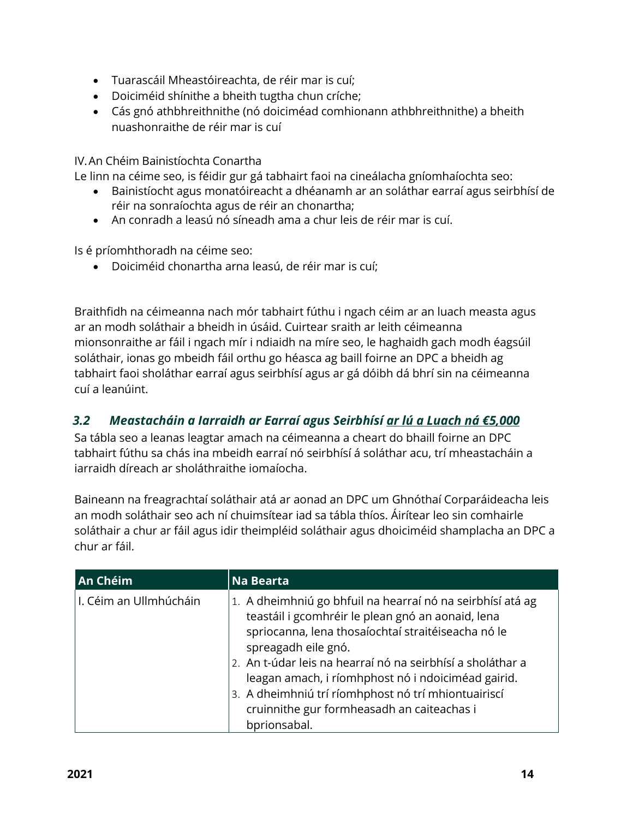- Tuarascáil Mheastóireachta, de réir mar is cuí;
- Doiciméid shínithe a bheith tugtha chun críche;
- Cás gnó athbhreithnithe (nó doiciméad comhionann athbhreithnithe) a bheith nuashonraithe de réir mar is cuí

IV.An Chéim Bainistíochta Conartha

Le linn na céime seo, is féidir gur gá tabhairt faoi na cineálacha gníomhaíochta seo:

- Bainistíocht agus monatóireacht a dhéanamh ar an soláthar earraí agus seirbhísí de réir na sonraíochta agus de réir an chonartha;
- An conradh a leasú nó síneadh ama a chur leis de réir mar is cuí.

Is é príomhthoradh na céime seo:

Doiciméid chonartha arna leasú, de réir mar is cuí;

Braithfidh na céimeanna nach mór tabhairt fúthu i ngach céim ar an luach measta agus ar an modh soláthair a bheidh in úsáid. Cuirtear sraith ar leith céimeanna mionsonraithe ar fáil i ngach mír i ndiaidh na míre seo, le haghaidh gach modh éagsúil soláthair, ionas go mbeidh fáil orthu go héasca ag baill foirne an DPC a bheidh ag tabhairt faoi sholáthar earraí agus seirbhísí agus ar gá dóibh dá bhrí sin na céimeanna cuí a leanúint.

## <span id="page-13-0"></span>*3.2 Meastacháin a Iarraidh ar Earraí agus Seirbhísí ar lú a Luach ná €5,000*

Sa tábla seo a leanas leagtar amach na céimeanna a cheart do bhaill foirne an DPC tabhairt fúthu sa chás ina mbeidh earraí nó seirbhísí á soláthar acu, trí mheastacháin a iarraidh díreach ar sholáthraithe iomaíocha.

Baineann na freagrachtaí soláthair atá ar aonad an DPC um Ghnóthaí Corparáideacha leis an modh soláthair seo ach ní chuimsítear iad sa tábla thíos. Áirítear leo sin comhairle soláthair a chur ar fáil agus idir theimpléid soláthair agus dhoiciméid shamplacha an DPC a chur ar fáil.

| An Chéim                 | <b>Na Bearta</b>                                                                                                                                                                                                                                                                                                                                                                                                                      |
|--------------------------|---------------------------------------------------------------------------------------------------------------------------------------------------------------------------------------------------------------------------------------------------------------------------------------------------------------------------------------------------------------------------------------------------------------------------------------|
| l I. Céim an Ullmhúcháin | 1. A dheimhniú go bhfuil na hearraí nó na seirbhísí atá ag<br>teastáil i gcomhréir le plean gnó an aonaid, lena<br>spriocanna, lena thosaíochtaí straitéiseacha nó le<br>spreagadh eile gnó.<br>2. An t-údar leis na hearraí nó na seirbhísí a sholáthar a<br>leagan amach, i ríomhphost nó i ndoiciméad gairid.<br>3. A dheimhniú trí ríomhphost nó trí mhiontuairiscí<br>cruinnithe gur formheasadh an caiteachas i<br>bprionsabal. |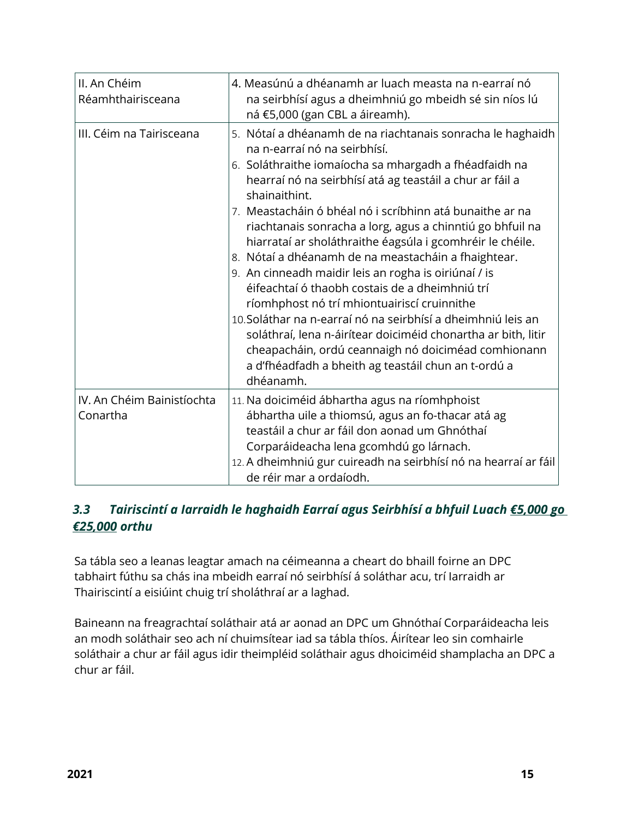| II. An Chéim<br>Réamhthairisceana      | 4. Measúnú a dhéanamh ar luach measta na n-earraí nó<br>na seirbhísí agus a dheimhniú go mbeidh sé sin níos lú<br>ná €5,000 (gan CBL a áireamh).                                                                                                                                                                                                                                                                                                                                                                                                                                                                                                                                                                                                                                                                                                                                                   |
|----------------------------------------|----------------------------------------------------------------------------------------------------------------------------------------------------------------------------------------------------------------------------------------------------------------------------------------------------------------------------------------------------------------------------------------------------------------------------------------------------------------------------------------------------------------------------------------------------------------------------------------------------------------------------------------------------------------------------------------------------------------------------------------------------------------------------------------------------------------------------------------------------------------------------------------------------|
| III. Céim na Tairisceana               | 5. Nótaí a dhéanamh de na riachtanais sonracha le haghaidh<br>na n-earraí nó na seirbhísí.<br>6. Soláthraithe iomaíocha sa mhargadh a fhéadfaidh na<br>hearraí nó na seirbhísí atá ag teastáil a chur ar fáil a<br>shainaithint.<br>7. Meastacháin ó bhéal nó i scríbhinn atá bunaithe ar na<br>riachtanais sonracha a lorg, agus a chinntiú go bhfuil na<br>hiarrataí ar sholáthraithe éagsúla i gcomhréir le chéile.<br>8. Nótaí a dhéanamh de na meastacháin a fhaightear.<br>9. An cinneadh maidir leis an rogha is oiriúnaí / is<br>éifeachtaí ó thaobh costais de a dheimhniú trí<br>ríomhphost nó trí mhiontuairiscí cruinnithe<br>10. Soláthar na n-earraí nó na seirbhísí a dheimhniú leis an<br>soláthraí, lena n-áirítear doiciméid chonartha ar bith, litir<br>cheapacháin, ordú ceannaigh nó doiciméad comhionann<br>a d'fhéadfadh a bheith ag teastáil chun an t-ordú a<br>dhéanamh. |
| IV. An Chéim Bainistíochta<br>Conartha | 11. Na doiciméid ábhartha agus na ríomhphoist<br>ábhartha uile a thiomsú, agus an fo-thacar atá ag<br>teastáil a chur ar fáil don aonad um Ghnóthaí<br>Corparáideacha lena gcomhdú go lárnach.<br>12. A dheimhniú gur cuireadh na seirbhísí nó na hearraí ar fáil<br>de réir mar a ordaíodh.                                                                                                                                                                                                                                                                                                                                                                                                                                                                                                                                                                                                       |

# <span id="page-14-0"></span>*3.3 Tairiscintí a Iarraidh le haghaidh Earraí agus Seirbhísí a bhfuil Luach €5,000 go €25,000 orthu*

Sa tábla seo a leanas leagtar amach na céimeanna a cheart do bhaill foirne an DPC tabhairt fúthu sa chás ina mbeidh earraí nó seirbhísí á soláthar acu, trí Iarraidh ar Thairiscintí a eisiúint chuig trí sholáthraí ar a laghad.

Baineann na freagrachtaí soláthair atá ar aonad an DPC um Ghnóthaí Corparáideacha leis an modh soláthair seo ach ní chuimsítear iad sa tábla thíos. Áirítear leo sin comhairle soláthair a chur ar fáil agus idir theimpléid soláthair agus dhoiciméid shamplacha an DPC a chur ar fáil.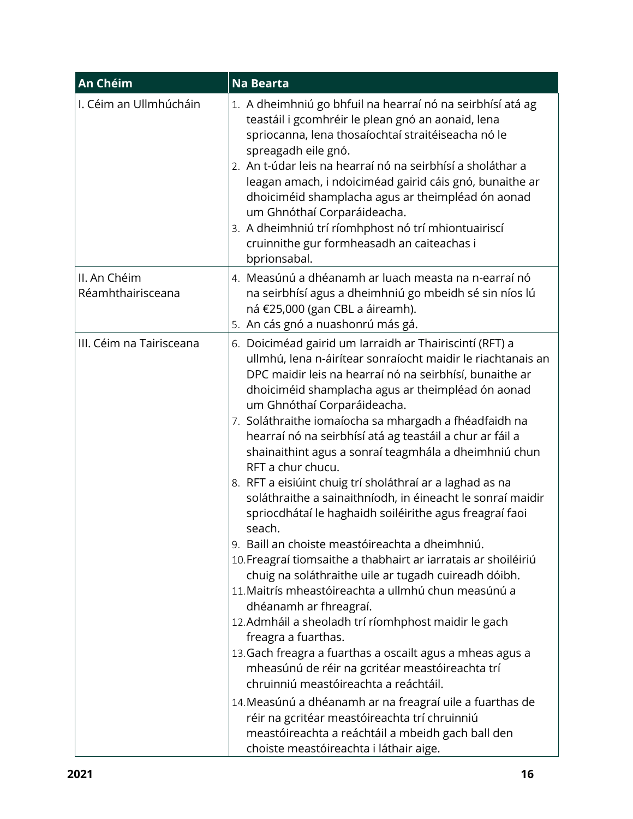| An Chéim                          | <b>Na Bearta</b>                                                                                                                                                                                                                                                                                                                                                                                                                                                                                                                                                                                                                                                                                                                                                                                                                                                                                                                                                                                                                                                                                                                                                                                                                                                                                                                                                                          |
|-----------------------------------|-------------------------------------------------------------------------------------------------------------------------------------------------------------------------------------------------------------------------------------------------------------------------------------------------------------------------------------------------------------------------------------------------------------------------------------------------------------------------------------------------------------------------------------------------------------------------------------------------------------------------------------------------------------------------------------------------------------------------------------------------------------------------------------------------------------------------------------------------------------------------------------------------------------------------------------------------------------------------------------------------------------------------------------------------------------------------------------------------------------------------------------------------------------------------------------------------------------------------------------------------------------------------------------------------------------------------------------------------------------------------------------------|
| I. Céim an Ullmhúcháin            | 1. A dheimhniú go bhfuil na hearraí nó na seirbhísí atá ag<br>teastáil i gcomhréir le plean gnó an aonaid, lena<br>spriocanna, lena thosaíochtaí straitéiseacha nó le<br>spreagadh eile gnó.<br>2. An t-údar leis na hearraí nó na seirbhísí a sholáthar a<br>leagan amach, i ndoiciméad gairid cáis gnó, bunaithe ar<br>dhoiciméid shamplacha agus ar theimpléad ón aonad<br>um Ghnóthaí Corparáideacha.<br>3. A dheimhniú trí ríomhphost nó trí mhiontuairiscí<br>cruinnithe gur formheasadh an caiteachas i<br>bprionsabal.                                                                                                                                                                                                                                                                                                                                                                                                                                                                                                                                                                                                                                                                                                                                                                                                                                                            |
| II. An Chéim<br>Réamhthairisceana | 4. Measúnú a dhéanamh ar luach measta na n-earraí nó<br>na seirbhísí agus a dheimhniú go mbeidh sé sin níos lú<br>ná €25,000 (gan CBL a áireamh).<br>5. An cás gnó a nuashonrú más gá.                                                                                                                                                                                                                                                                                                                                                                                                                                                                                                                                                                                                                                                                                                                                                                                                                                                                                                                                                                                                                                                                                                                                                                                                    |
| III. Céim na Tairisceana          | 6. Doiciméad gairid um Iarraidh ar Thairiscintí (RFT) a<br>ullmhú, lena n-áirítear sonraíocht maidir le riachtanais an<br>DPC maidir leis na hearraí nó na seirbhísí, bunaithe ar<br>dhoiciméid shamplacha agus ar theimpléad ón aonad<br>um Ghnóthaí Corparáideacha.<br>7. Soláthraithe iomaíocha sa mhargadh a fhéadfaidh na<br>hearraí nó na seirbhísí atá ag teastáil a chur ar fáil a<br>shainaithint agus a sonraí teagmhála a dheimhniú chun<br>RFT a chur chucu.<br>8. RFT a eisiúint chuig trí sholáthraí ar a laghad as na<br>soláthraithe a sainaithníodh, in éineacht le sonraí maidir<br>spriocdhátaí le haghaidh soiléirithe agus freagraí faoi<br>seach.<br>9. Baill an choiste meastóireachta a dheimhniú.<br>10. Freagraí tiomsaithe a thabhairt ar iarratais ar shoiléiriú<br>chuig na soláthraithe uile ar tugadh cuireadh dóibh.<br>11. Maitrís mheastóireachta a ullmhú chun measúnú a<br>dhéanamh ar fhreagraí.<br>12. Admháil a sheoladh trí ríomhphost maidir le gach<br>freagra a fuarthas.<br>13. Gach freagra a fuarthas a oscailt agus a mheas agus a<br>mheasúnú de réir na gcritéar meastóireachta trí<br>chruinniú meastóireachta a reáchtáil.<br>14. Measúnú a dhéanamh ar na freagraí uile a fuarthas de<br>réir na gcritéar meastóireachta trí chruinniú<br>meastóireachta a reáchtáil a mbeidh gach ball den<br>choiste meastóireachta i láthair aige. |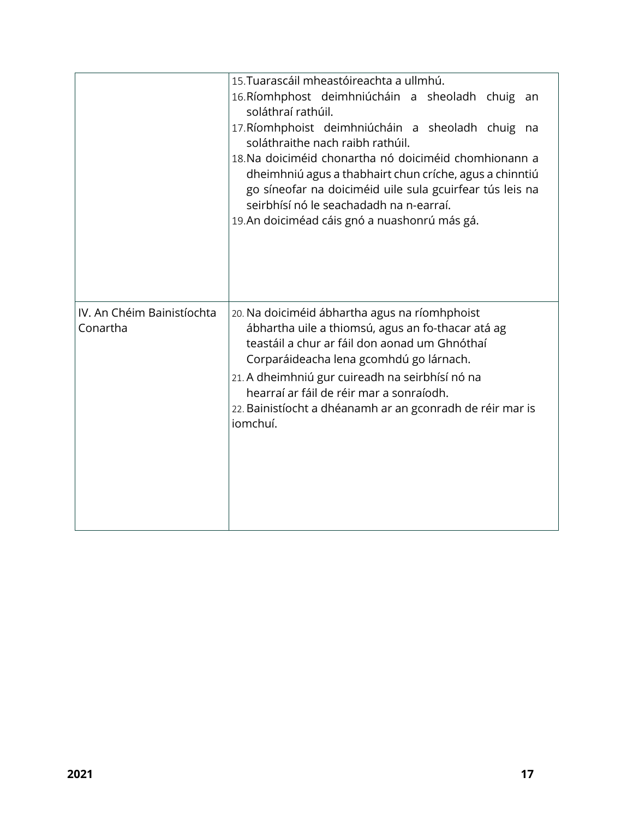|                                        | 15. Tuarascáil mheastóireachta a ullmhú.<br>16. Ríomhphost deimhniúcháin a sheoladh chuig an<br>soláthraí rathúil.<br>17. Ríomhphoist deimhniúcháin a sheoladh chuig na<br>soláthraithe nach raibh rathúil.<br>18. Na doiciméid chonartha nó doiciméid chomhionann a<br>dheimhniú agus a thabhairt chun críche, agus a chinntiú<br>go síneofar na doiciméid uile sula gcuirfear tús leis na<br>seirbhísí nó le seachadadh na n-earraí.<br>19. An doiciméad cáis gnó a nuashonrú más gá. |
|----------------------------------------|-----------------------------------------------------------------------------------------------------------------------------------------------------------------------------------------------------------------------------------------------------------------------------------------------------------------------------------------------------------------------------------------------------------------------------------------------------------------------------------------|
| IV. An Chéim Bainistíochta<br>Conartha | 20. Na doiciméid ábhartha agus na ríomhphoist<br>ábhartha uile a thiomsú, agus an fo-thacar atá ag<br>teastáil a chur ar fáil don aonad um Ghnóthaí<br>Corparáideacha lena gcomhdú go lárnach.<br>21. A dheimhniú gur cuireadh na seirbhísí nó na<br>hearraí ar fáil de réir mar a sonraíodh.<br>22. Bainistíocht a dhéanamh ar an gconradh de réir mar is<br>iomchuí.                                                                                                                  |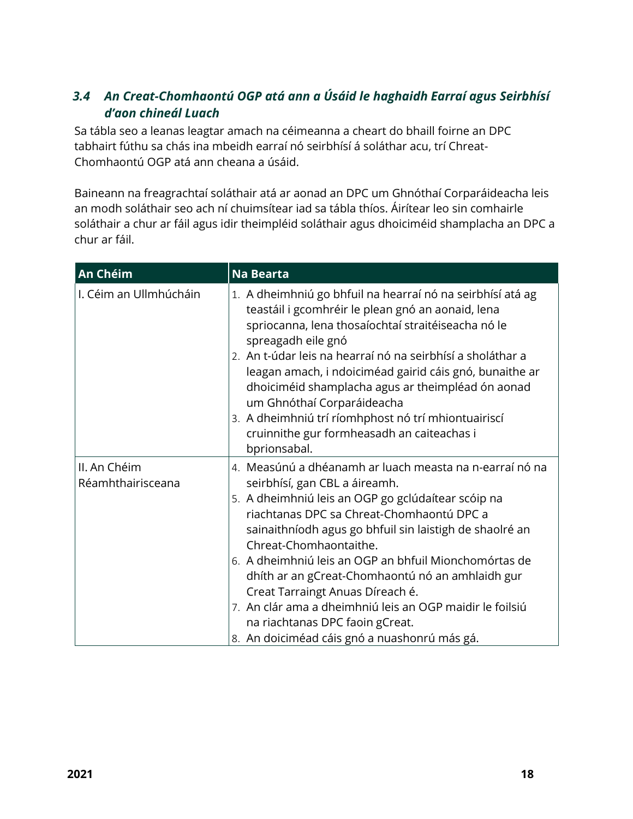# <span id="page-17-0"></span>*3.4 An Creat-Chomhaontú OGP atá ann a Úsáid le haghaidh Earraí agus Seirbhísí d'aon chineál Luach*

Sa tábla seo a leanas leagtar amach na céimeanna a cheart do bhaill foirne an DPC tabhairt fúthu sa chás ina mbeidh earraí nó seirbhísí á soláthar acu, trí Chreat-Chomhaontú OGP atá ann cheana a úsáid.

Baineann na freagrachtaí soláthair atá ar aonad an DPC um Ghnóthaí Corparáideacha leis an modh soláthair seo ach ní chuimsítear iad sa tábla thíos. Áirítear leo sin comhairle soláthair a chur ar fáil agus idir theimpléid soláthair agus dhoiciméid shamplacha an DPC a chur ar fáil.

| An Chéim                          | <b>Na Bearta</b>                                                                                                                                                                                                                                                                                                                                                                                                                                                                                                                                                                 |
|-----------------------------------|----------------------------------------------------------------------------------------------------------------------------------------------------------------------------------------------------------------------------------------------------------------------------------------------------------------------------------------------------------------------------------------------------------------------------------------------------------------------------------------------------------------------------------------------------------------------------------|
| I. Céim an Ullmhúcháin            | 1. A dheimhniú go bhfuil na hearraí nó na seirbhísí atá ag<br>teastáil i gcomhréir le plean gnó an aonaid, lena<br>spriocanna, lena thosaíochtaí straitéiseacha nó le<br>spreagadh eile gnó<br>2. An t-údar leis na hearraí nó na seirbhísí a sholáthar a<br>leagan amach, i ndoiciméad gairid cáis gnó, bunaithe ar<br>dhoiciméid shamplacha agus ar theimpléad ón aonad<br>um Ghnóthaí Corparáideacha<br>3. A dheimhniú trí ríomhphost nó trí mhiontuairiscí<br>cruinnithe gur formheasadh an caiteachas i<br>bprionsabal.                                                     |
| II. An Chéim<br>Réamhthairisceana | 4. Measúnú a dhéanamh ar luach measta na n-earraí nó na<br>seirbhísí, gan CBL a áireamh.<br>5. A dheimhniú leis an OGP go gclúdaítear scóip na<br>riachtanas DPC sa Chreat-Chomhaontú DPC a<br>sainaithníodh agus go bhfuil sin laistigh de shaolré an<br>Chreat-Chomhaontaithe.<br>6. A dheimhniú leis an OGP an bhfuil Mionchomórtas de<br>dhíth ar an gCreat-Chomhaontú nó an amhlaidh gur<br>Creat Tarraingt Anuas Díreach é.<br>7. An clár ama a dheimhniú leis an OGP maidir le foilsiú<br>na riachtanas DPC faoin gCreat.<br>8. An doiciméad cáis gnó a nuashonrú más gá. |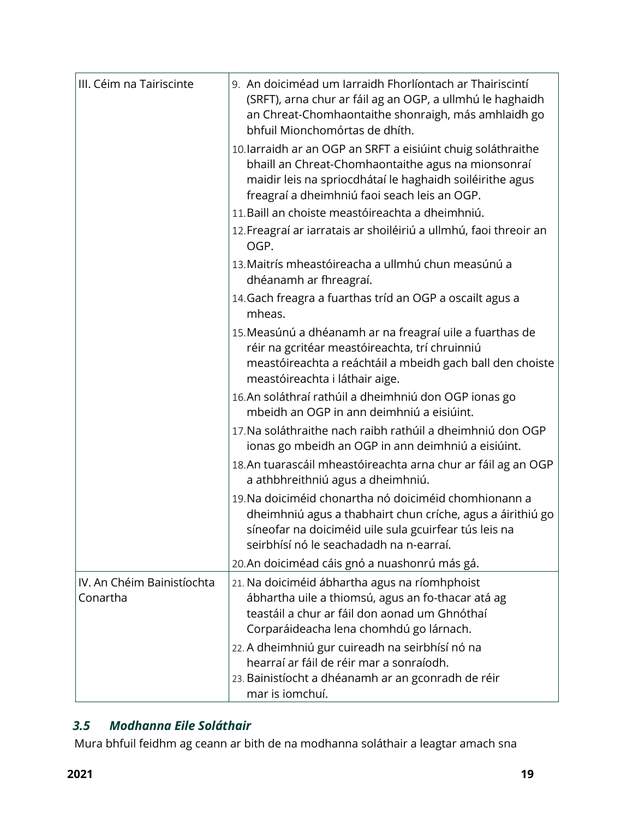| III. Céim na Tairiscinte               | 9. An doiciméad um Iarraidh Fhorlíontach ar Thairiscintí<br>(SRFT), arna chur ar fáil ag an OGP, a ullmhú le haghaidh<br>an Chreat-Chomhaontaithe shonraigh, más amhlaidh go<br>bhfuil Mionchomórtas de dhíth.                 |
|----------------------------------------|--------------------------------------------------------------------------------------------------------------------------------------------------------------------------------------------------------------------------------|
|                                        | 10. larraidh ar an OGP an SRFT a eisiúint chuig soláthraithe<br>bhaill an Chreat-Chomhaontaithe agus na mionsonraí<br>maidir leis na spriocdhátaí le haghaidh soiléirithe agus<br>freagraí a dheimhniú faoi seach leis an OGP. |
|                                        | 11. Baill an choiste meastóireachta a dheimhniú.                                                                                                                                                                               |
|                                        | 12. Freagraí ar iarratais ar shoiléiriú a ullmhú, faoi threoir an<br>OGP.                                                                                                                                                      |
|                                        | 13. Maitrís mheastóireacha a ullmhú chun measúnú a<br>dhéanamh ar fhreagraí.                                                                                                                                                   |
|                                        | 14. Gach freagra a fuarthas tríd an OGP a oscailt agus a<br>mheas.                                                                                                                                                             |
|                                        | 15. Measúnú a dhéanamh ar na freagraí uile a fuarthas de<br>réir na gcritéar meastóireachta, trí chruinniú<br>meastóireachta a reáchtáil a mbeidh gach ball den choiste<br>meastóireachta i láthair aige.                      |
|                                        | 16. An soláthraí rathúil a dheimhniú don OGP ionas go<br>mbeidh an OGP in ann deimhniú a eisiúint.                                                                                                                             |
|                                        | 17. Na soláthraithe nach raibh rathúil a dheimhniú don OGP<br>ionas go mbeidh an OGP in ann deimhniú a eisiúint.                                                                                                               |
|                                        | 18. An tuarascáil mheastóireachta arna chur ar fáil ag an OGP<br>a athbhreithniú agus a dheimhniú.                                                                                                                             |
|                                        | 19. Na doiciméid chonartha nó doiciméid chomhionann a<br>dheimhniú agus a thabhairt chun críche, agus a áirithiú go<br>síneofar na doiciméid uile sula gcuirfear tús leis na<br>seirbhísí nó le seachadadh na n-earraí.        |
|                                        | 20.An doiciméad cáis gnó a nuashonrú más gá.                                                                                                                                                                                   |
| IV. An Chéim Bainistíochta<br>Conartha | 21. Na doiciméid ábhartha agus na ríomhphoist<br>ábhartha uile a thiomsú, agus an fo-thacar atá ag<br>teastáil a chur ar fáil don aonad um Ghnóthaí<br>Corparáideacha lena chomhdú go lárnach.                                 |
|                                        | 22. A dheimhniú gur cuireadh na seirbhísí nó na<br>hearraí ar fáil de réir mar a sonraíodh.<br>23. Bainistíocht a dhéanamh ar an gconradh de réir<br>mar is iomchuí.                                                           |

# <span id="page-18-0"></span>*3.5 Modhanna Eile Soláthair*

Mura bhfuil feidhm ag ceann ar bith de na modhanna soláthair a leagtar amach sna